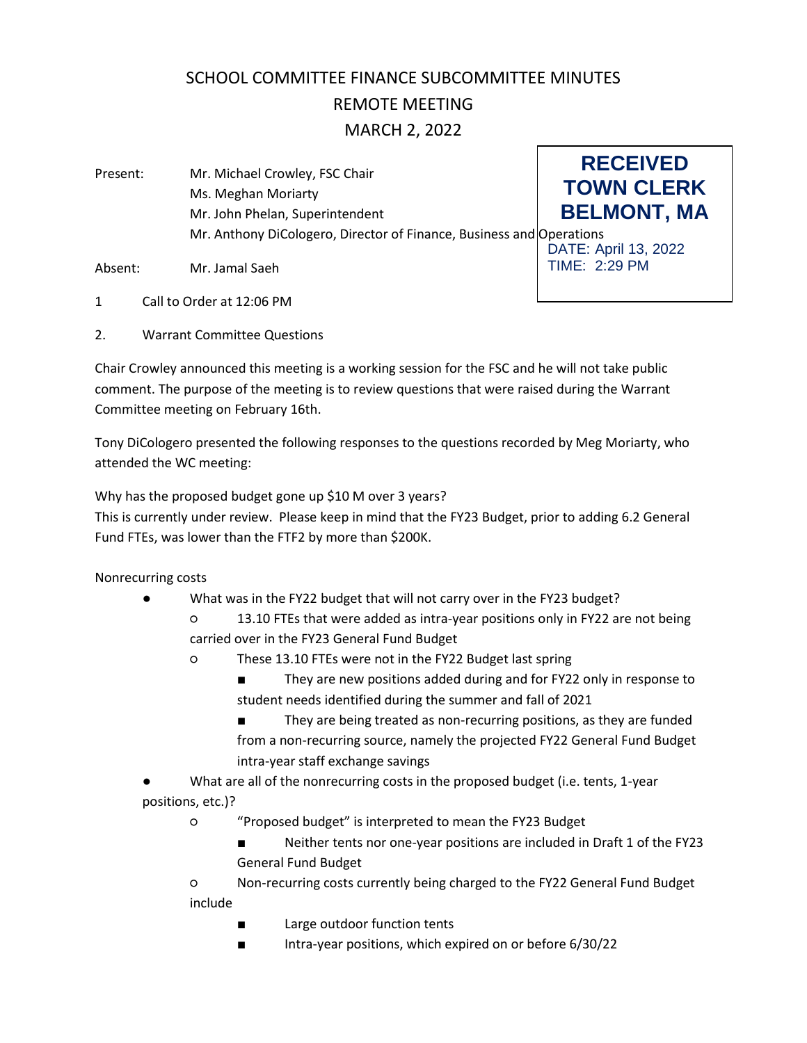# SCHOOL COMMITTEE FINANCE SUBCOMMITTEE MINUTES REMOTE MEETING

## MARCH 2, 2022

**RECEIVED TOWN CLERK BELMONT, MA** DATE: April 13, 2022 TIME: 2:29 PM Present: Mr. Michael Crowley, FSC Chair Ms. Meghan Moriarty Mr. John Phelan, Superintendent Mr. Anthony DiCologero, Director of Finance, Business and Operations

Absent: Mr. Jamal Saeh

- 1 Call to Order at 12:06 PM
- 2. Warrant Committee Questions

Chair Crowley announced this meeting is a working session for the FSC and he will not take public comment. The purpose of the meeting is to review questions that were raised during the Warrant Committee meeting on February 16th.

Tony DiCologero presented the following responses to the questions recorded by Meg Moriarty, who attended the WC meeting:

Why has the proposed budget gone up \$10 M over 3 years?

This is currently under review. Please keep in mind that the FY23 Budget, prior to adding 6.2 General Fund FTEs, was lower than the FTF2 by more than \$200K.

Nonrecurring costs

- What was in the FY22 budget that will not carry over in the FY23 budget?
	- 13.10 FTEs that were added as intra-year positions only in FY22 are not being carried over in the FY23 General Fund Budget
	- These 13.10 FTEs were not in the FY22 Budget last spring
		- They are new positions added during and for FY22 only in response to student needs identified during the summer and fall of 2021
		- They are being treated as non-recurring positions, as they are funded from a non-recurring source, namely the projected FY22 General Fund Budget intra-year staff exchange savings
- What are all of the nonrecurring costs in the proposed budget (i.e. tents, 1-year positions, etc.)?
	- "Proposed budget" is interpreted to mean the FY23 Budget
		- Neither tents nor one-year positions are included in Draft 1 of the FY23 General Fund Budget

○ Non-recurring costs currently being charged to the FY22 General Fund Budget include

- Large outdoor function tents
- Intra-year positions, which expired on or before 6/30/22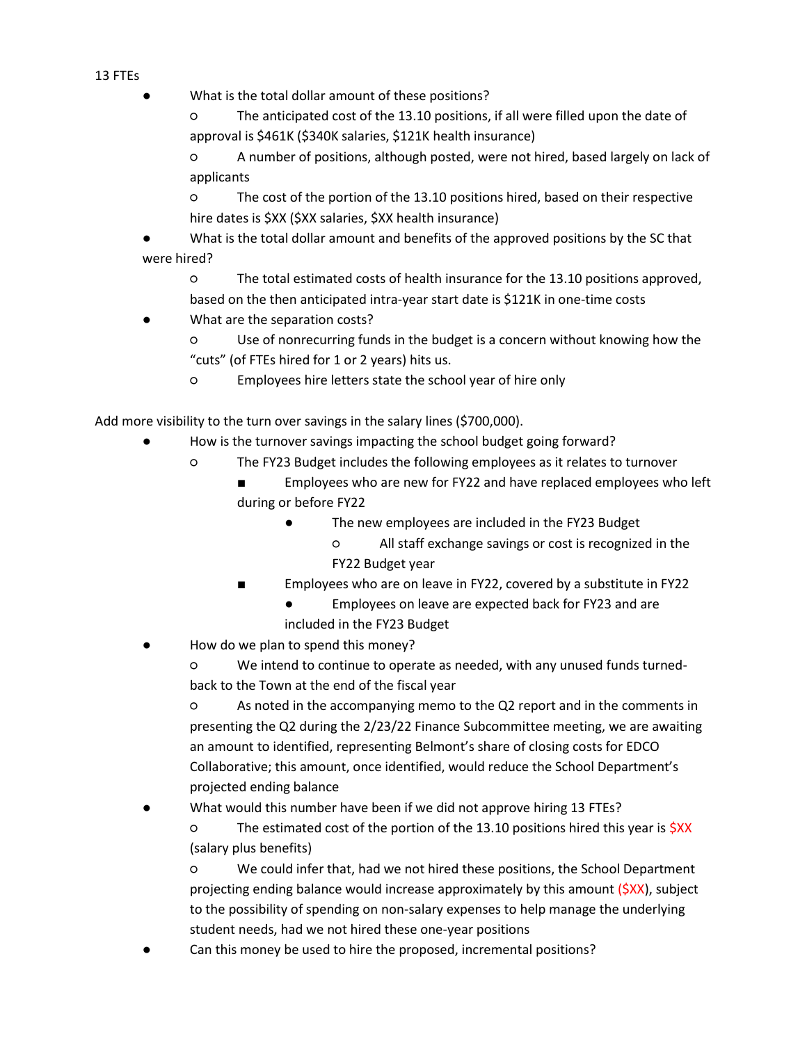#### 13 FTEs

● What is the total dollar amount of these positions?

○ The anticipated cost of the 13.10 positions, if all were filled upon the date of approval is \$461K (\$340K salaries, \$121K health insurance)

○ A number of positions, although posted, were not hired, based largely on lack of applicants

○ The cost of the portion of the 13.10 positions hired, based on their respective hire dates is \$XX (\$XX salaries, \$XX health insurance)

What is the total dollar amount and benefits of the approved positions by the SC that were hired?

○ The total estimated costs of health insurance for the 13.10 positions approved, based on the then anticipated intra-year start date is \$121K in one-time costs

What are the separation costs?

○ Use of nonrecurring funds in the budget is a concern without knowing how the "cuts" (of FTEs hired for 1 or 2 years) hits us.

○ Employees hire letters state the school year of hire only

Add more visibility to the turn over savings in the salary lines (\$700,000).

- How is the turnover savings impacting the school budget going forward?
	- The FY23 Budget includes the following employees as it relates to turnover
		- Employees who are new for FY22 and have replaced employees who left during or before FY22
			- The new employees are included in the FY23 Budget
				- All staff exchange savings or cost is recognized in the FY22 Budget year
		- Employees who are on leave in FY22, covered by a substitute in FY22
			- Employees on leave are expected back for FY23 and are included in the FY23 Budget
- How do we plan to spend this money?

○ We intend to continue to operate as needed, with any unused funds turnedback to the Town at the end of the fiscal year

○ As noted in the accompanying memo to the Q2 report and in the comments in presenting the Q2 during the 2/23/22 Finance Subcommittee meeting, we are awaiting an amount to identified, representing Belmont's share of closing costs for EDCO Collaborative; this amount, once identified, would reduce the School Department's projected ending balance

What would this number have been if we did not approve hiring 13 FTEs?

○ The estimated cost of the portion of the 13.10 positions hired this year is \$XX (salary plus benefits)

○ We could infer that, had we not hired these positions, the School Department projecting ending balance would increase approximately by this amount (\$XX), subject to the possibility of spending on non-salary expenses to help manage the underlying student needs, had we not hired these one-year positions

Can this money be used to hire the proposed, incremental positions?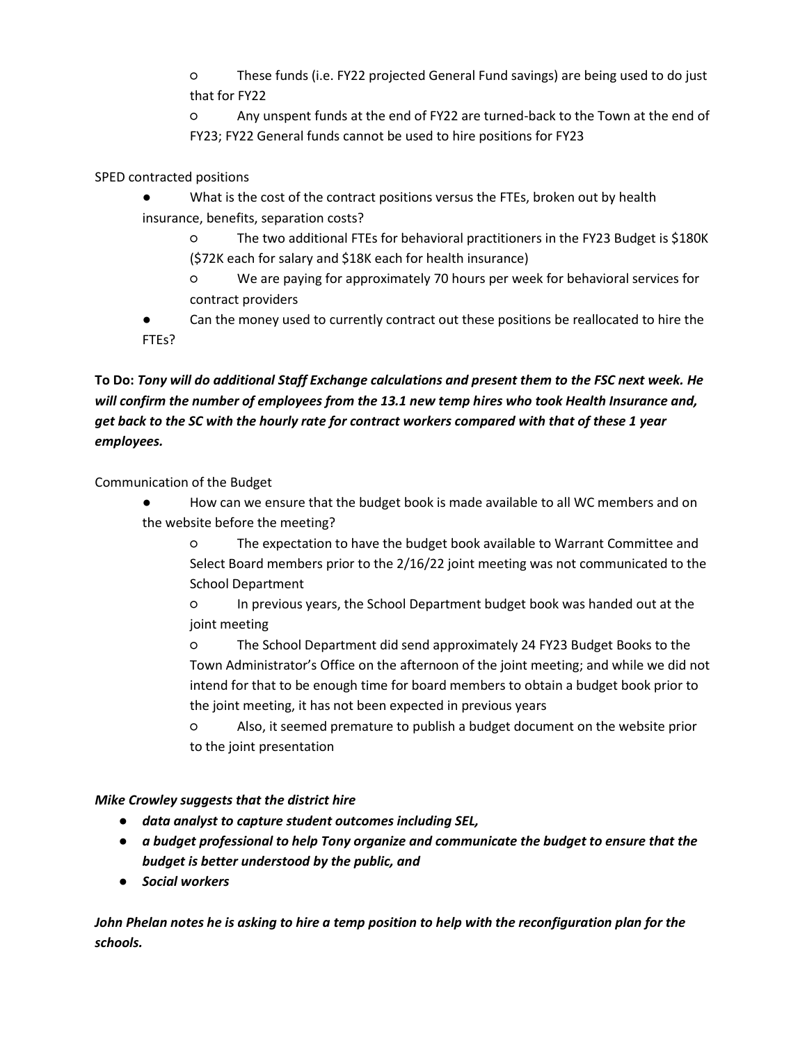○ These funds (i.e. FY22 projected General Fund savings) are being used to do just that for FY22

○ Any unspent funds at the end of FY22 are turned-back to the Town at the end of FY23; FY22 General funds cannot be used to hire positions for FY23

SPED contracted positions

- What is the cost of the contract positions versus the FTEs, broken out by health insurance, benefits, separation costs?
	- The two additional FTEs for behavioral practitioners in the FY23 Budget is \$180K (\$72K each for salary and \$18K each for health insurance)
	- We are paying for approximately 70 hours per week for behavioral services for contract providers
- Can the money used to currently contract out these positions be reallocated to hire the FTEs?

# **To Do:** *Tony will do additional Staff Exchange calculations and present them to the FSC next week. He will confirm the number of employees from the 13.1 new temp hires who took Health Insurance and, get back to the SC with the hourly rate for contract workers compared with that of these 1 year employees.*

Communication of the Budget

- How can we ensure that the budget book is made available to all WC members and on the website before the meeting?
	- The expectation to have the budget book available to Warrant Committee and Select Board members prior to the 2/16/22 joint meeting was not communicated to the School Department
	- In previous years, the School Department budget book was handed out at the joint meeting
	- The School Department did send approximately 24 FY23 Budget Books to the Town Administrator's Office on the afternoon of the joint meeting; and while we did not intend for that to be enough time for board members to obtain a budget book prior to the joint meeting, it has not been expected in previous years
	- Also, it seemed premature to publish a budget document on the website prior to the joint presentation

## *Mike Crowley suggests that the district hire*

- *data analyst to capture student outcomes including SEL,*
- *a budget professional to help Tony organize and communicate the budget to ensure that the budget is better understood by the public, and*
- *Social workers*

*John Phelan notes he is asking to hire a temp position to help with the reconfiguration plan for the schools.*